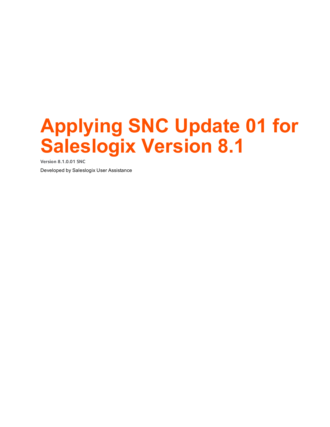# **Applying SNC Update 01 for Saleslogix Version 8.1**

**Version 8.1.0.01 SNC**

Developed by Saleslogix User Assistance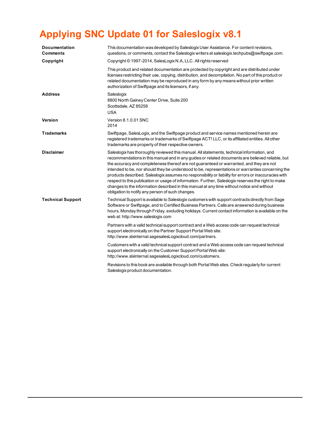## **Applying SNC Update 01 for Saleslogix v8.1**

| <b>Documentation</b><br>Comments | This documentation was developed by Saleslogix User Assistance. For content revisions,<br>questions, or comments, contact the Saleslogix writers at saleslogix techpubs@swiftpage.com.                                                                                                                                                                                                                                                                                                                                                                                                                                                                                                                                                                           |
|----------------------------------|------------------------------------------------------------------------------------------------------------------------------------------------------------------------------------------------------------------------------------------------------------------------------------------------------------------------------------------------------------------------------------------------------------------------------------------------------------------------------------------------------------------------------------------------------------------------------------------------------------------------------------------------------------------------------------------------------------------------------------------------------------------|
| Copyright                        | Copyright © 1997-2014, SalesLogix N.A, LLC. All rights reserved                                                                                                                                                                                                                                                                                                                                                                                                                                                                                                                                                                                                                                                                                                  |
|                                  | This product and related documentation are protected by copyright and are distributed under<br>licenses restricting their use, copying, distribution, and decompilation. No part of this product or<br>related documentation may be reproduced in any form by any means without prior written<br>authorization of Swiftpage and its licensors, if any.                                                                                                                                                                                                                                                                                                                                                                                                           |
| <b>Address</b>                   | Saleslogix<br>8800 North Gainey Center Drive, Suite 200<br>Scottsdale, AZ 85258<br><b>USA</b>                                                                                                                                                                                                                                                                                                                                                                                                                                                                                                                                                                                                                                                                    |
| Version                          | Version 8.1.0.01 SNC<br>2014                                                                                                                                                                                                                                                                                                                                                                                                                                                                                                                                                                                                                                                                                                                                     |
| Trademarks                       | Swiftpage, SalesLogix, and the Swiftpage product and service names mentioned herein are<br>registered trademarks or trademarks of Swiftpage ACT! LLC, or its affiliated entities. All other<br>trademarks are property of their respective owners.                                                                                                                                                                                                                                                                                                                                                                                                                                                                                                               |
| <b>Disclaimer</b>                | Saleslogix has thoroughly reviewed this manual. All statements, technical information, and<br>recommendations in this manual and in any guides or related documents are believed reliable, but<br>the accuracy and completeness thereof are not guaranteed or warranted, and they are not<br>intended to be, nor should they be understood to be, representations or warranties concerning the<br>products described. Saleslogix assumes no responsibility or liability for errors or inaccuracies with<br>respect to this publication or usage of information. Further, Saleslogix reserves the right to make<br>changes to the information described in this manual at any time without notice and without<br>obligation to notify any person of such changes. |
| <b>Technical Support</b>         | Technical Support is available to Saleslogix customers with support contracts directly from Sage<br>Software or Swiftpage, and to Certified Business Partners. Calls are answered during business<br>hours, Monday through Friday, excluding holidays. Current contact information is available on the<br>web at: http://www.saleslogix.com                                                                                                                                                                                                                                                                                                                                                                                                                      |
|                                  | Partners with a valid technical support contract and a Web access code can request technical<br>support electronically on the Partner Support Portal Web site:<br>http://www.slxinternal.sagesalesLogixcloud.com/partners.                                                                                                                                                                                                                                                                                                                                                                                                                                                                                                                                       |
|                                  | Customers with a valid technical support contract and a Web access code can request technical<br>support electronically on the Customer Support Portal Web site:<br>http://www.slxinternal.sagesalesLogixcloud.com/customers.                                                                                                                                                                                                                                                                                                                                                                                                                                                                                                                                    |
|                                  | Revisions to this book are available through both Portal Web sites. Check regularly for current<br>Saleslogix product documentation.                                                                                                                                                                                                                                                                                                                                                                                                                                                                                                                                                                                                                             |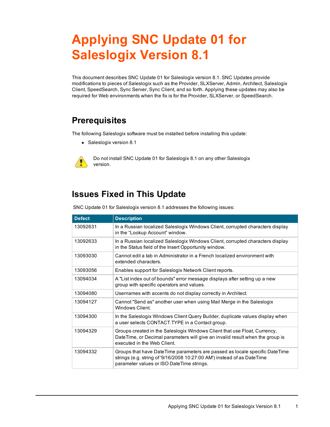## **Applying SNC Update 01 for Saleslogix Version 8.1**

This document describes SNC Update 01 for Saleslogix version 8.1. SNC Updates provide modifications to pieces of Saleslogix such as the Provider, SLXServer, Admin, Architect, Saleslogix Client, SpeedSearch, Sync Server, Sync Client, and so forth. Applying these updates may also be required for Web environments when the fix is for the Provider, SLXServer, or SpeedSearch.

## **Prerequisites**

The following Saleslogix software must be installed before installing this update:

• Saleslogix version 8.1



Do not install SNC Update 01 for Saleslogix 8.1 on any other Saleslogix version.

## **Issues Fixed in This Update**

SNC Update 01 for Saleslogix version 8.1 addresses the following issues:

| <b>Defect</b> | <b>Description</b>                                                                                                                                                                                    |
|---------------|-------------------------------------------------------------------------------------------------------------------------------------------------------------------------------------------------------|
| 13092631      | In a Russian localized Saleslogix Windows Client, corrupted characters display<br>in the "Lookup Account" window.                                                                                     |
| 13092633      | In a Russian localized Saleslogix Windows Client, corrupted characters display<br>in the Status field of the Insert Opportunity window.                                                               |
| 13093030      | Cannot edit a tab in Administrator in a French localized environment with<br>extended characters.                                                                                                     |
| 13093056      | Enables support for Saleslogix Network Client reports.                                                                                                                                                |
| 13094034      | A "List index out of bounds" error message displays after setting up a new<br>group with specific operators and values.                                                                               |
| 13094080      | Usernames with accents do not display correctly in Architect.                                                                                                                                         |
| 13094127      | Cannot "Send as" another user when using Mail Merge in the Saleslogix<br>Windows Client.                                                                                                              |
| 13094300      | In the Saleslogix Windows Client Query Builder, duplicate values display when<br>a user selects CONTACT. TYPE in a Contact group.                                                                     |
| 13094329      | Groups created in the Saleslogix Windows Client that use Float, Currency,<br>DateTime, or Decimal parameters will give an invalid result when the group is<br>executed in the Web Client.             |
| 13094332      | Groups that have Date Time parameters are passed as locale specific Date Time<br>strings (e.g. string of '9/16/2008 10:27:00 AM') instead of as DateTime<br>parameter values or ISO DateTime strings. |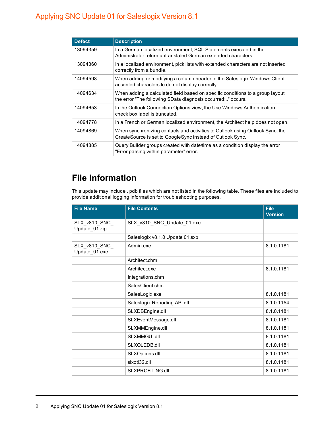| <b>Defect</b> | <b>Description</b>                                                                                                                           |
|---------------|----------------------------------------------------------------------------------------------------------------------------------------------|
| 13094359      | In a German localized environment, SQL Statements executed in the<br>Administrator return untranslated German extended characters.           |
| 13094360      | In a localized environment, pick lists with extended characters are not inserted<br>correctly from a bundle.                                 |
| 14094598      | When adding or modifying a column header in the Saleslogix Windows Client<br>accented characters to do not display correctly.                |
| 14094634      | When adding a calculated field based on specific conditions to a group layout,<br>the error "The following SData diagnosis occurred" occurs. |
| 14094653      | In the Outlook Connection Options view, the Use Windows Authentication<br>check box label is truncated.                                      |
| 14094778      | In a French or German localized environment, the Architect help does not open.                                                               |
| 14094869      | When synchronizing contacts and activities to Outlook using Outlook Sync, the<br>CreateSource is set to GoogleSync instead of Outlook Sync.  |
| 14094885      | Query Builder groups created with date/time as a condition display the error<br>"Error parsing within parameter" error.                      |

## **File Information**

This update may include . pdb files which are not listed in the following table. These files are included to provide additional logging information for troubleshooting purposes.

| <b>File Name</b>               | <b>File Contents</b>            | <b>File</b><br><b>Version</b> |
|--------------------------------|---------------------------------|-------------------------------|
| SLX_v810_SNC_<br>Update_01.zip | SLX_v810_SNC_Update_01.exe      |                               |
|                                | Saleslogix v8.1.0 Update 01.sxb |                               |
| SLX_v810_SNC_<br>Update_01.exe | Admin exe                       | 8.1.0.1181                    |
|                                | Architect.chm                   |                               |
|                                | Architect.exe                   | 8.1.0.1181                    |
|                                | Integrations.chm                |                               |
|                                | SalesClient.chm                 |                               |
|                                | SalesLogix.exe                  | 8.1.0.1181                    |
|                                | Saleslogix.Reporting.API.dll    | 8.1.0.1154                    |
|                                | SLXDBEngine.dll                 | 8.1.0.1181                    |
|                                | SLXEventMessage.dll             | 8.1.0.1181                    |
|                                | SLXMMEngine.dll                 | 8.1.0.1181                    |
|                                | SLXMMGUI.dll                    | 8.1.0.1181                    |
|                                | SLXOLEDB.dll                    | 8.1.0.1181                    |
|                                | SLXOptions.dll                  | 8.1.0.1181                    |
|                                | slxotl32.dll                    | 8.1.0.1181                    |
|                                | SLXPROFILING.dll                | 8.1.0.1181                    |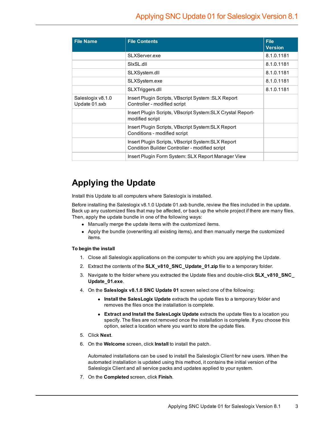| <b>File Name</b>                   | <b>File Contents</b>                                                                                 | <b>File</b><br><b>Version</b> |
|------------------------------------|------------------------------------------------------------------------------------------------------|-------------------------------|
|                                    | SLXServer.exe                                                                                        | 8.1.0.1181                    |
|                                    | SIxSL.dll                                                                                            | 8.1.0.1181                    |
|                                    | SLXSystem.dll                                                                                        | 8.1.0.1181                    |
|                                    | SLXSystem.exe                                                                                        | 8.1.0.1181                    |
|                                    | SLXTriggers.dll                                                                                      | 8.1.0.1181                    |
| Saleslogix v8.1.0<br>Update 01.sxb | Insert Plugin Scripts, VBscript System : SLX Report<br>Controller - modified script                  |                               |
|                                    | Insert Plugin Scripts, VBscript System: SLX Crystal Report-<br>modified script                       |                               |
|                                    | Insert Plugin Scripts, VBscript System: SLX Report<br>Conditions - modified script                   |                               |
|                                    | Insert Plugin Scripts, VBscript System: SLX Report<br>Condition Builder Controller - modified script |                               |
|                                    | Insert Plugin Form System: SLX Report Manager View                                                   |                               |

## **Applying the Update**

Install this Update to all computers where Saleslogix is installed.

Before installing the Saleslogix v8.1.0 Update 01.sxb bundle, review the files included in the update. Back up any customized files that may be affected, or back up the whole project if there are many files. Then, apply the update bundle in one of the following ways:

- Manually merge the update items with the customized items.
- Apply the bundle (overwriting all existing items), and then manually merge the customized items.

#### **To begin the install**

- 1. Close all Saleslogix applications on the computer to which you are applying the Update.
- 2. Extract the contents of the **SLX\_v810\_SNC\_Update\_01.zip** file to a temporary folder.
- 3. Navigate to the folder where you extracted the Update files and double-click **SLX\_v810\_SNC\_ Update\_01.exe**.
- 4. On the **Saleslogix v8.1.0 SNC Update 01** screen select one of the following:
	- **.** Install the SalesLogix Update extracts the update files to a temporary folder and removes the files once the installation is complete.
	- **Extract and Install the SalesLogix Update** extracts the update files to a location you specify. The files are not removed once the installation is complete. If you choose this option, select a location where you want to store the update files.
- 5. Click **Next**.
- 6. On the **Welcome** screen, click **Install** to install the patch.

Automated installations can be used to install the Saleslogix Client for new users. When the automated installation is updated using this method, it contains the initial version of the Saleslogix Client and all service packs and updates applied to your system.

7. On the **Completed** screen, click **Finish**.